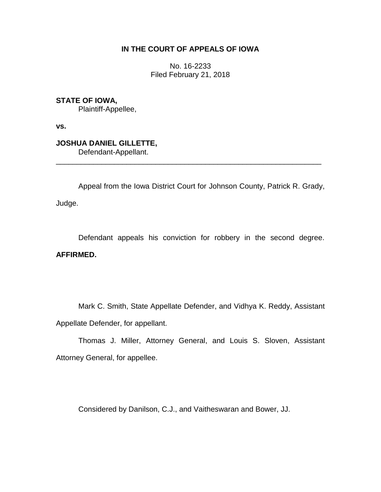# **IN THE COURT OF APPEALS OF IOWA**

No. 16-2233 Filed February 21, 2018

**STATE OF IOWA,** Plaintiff-Appellee,

**vs.**

**JOSHUA DANIEL GILLETTE,** Defendant-Appellant.

Appeal from the Iowa District Court for Johnson County, Patrick R. Grady, Judge.

\_\_\_\_\_\_\_\_\_\_\_\_\_\_\_\_\_\_\_\_\_\_\_\_\_\_\_\_\_\_\_\_\_\_\_\_\_\_\_\_\_\_\_\_\_\_\_\_\_\_\_\_\_\_\_\_\_\_\_\_\_\_\_\_

Defendant appeals his conviction for robbery in the second degree. **AFFIRMED.**

Mark C. Smith, State Appellate Defender, and Vidhya K. Reddy, Assistant Appellate Defender, for appellant.

Thomas J. Miller, Attorney General, and Louis S. Sloven, Assistant Attorney General, for appellee.

Considered by Danilson, C.J., and Vaitheswaran and Bower, JJ.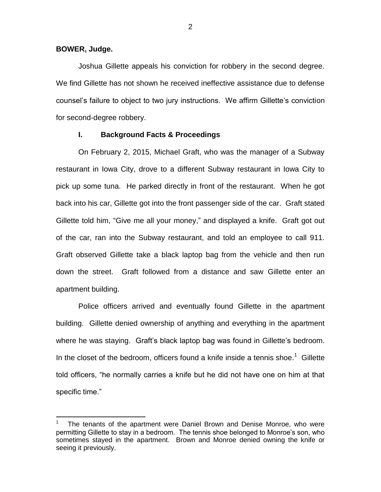**BOWER, Judge.**

 $\overline{a}$ 

Joshua Gillette appeals his conviction for robbery in the second degree. We find Gillette has not shown he received ineffective assistance due to defense counsel's failure to object to two jury instructions. We affirm Gillette's conviction for second-degree robbery.

## **I. Background Facts & Proceedings**

On February 2, 2015, Michael Graft, who was the manager of a Subway restaurant in Iowa City, drove to a different Subway restaurant in Iowa City to pick up some tuna. He parked directly in front of the restaurant. When he got back into his car, Gillette got into the front passenger side of the car. Graft stated Gillette told him, "Give me all your money," and displayed a knife. Graft got out of the car, ran into the Subway restaurant, and told an employee to call 911. Graft observed Gillette take a black laptop bag from the vehicle and then run down the street. Graft followed from a distance and saw Gillette enter an apartment building.

Police officers arrived and eventually found Gillette in the apartment building. Gillette denied ownership of anything and everything in the apartment where he was staying. Graft's black laptop bag was found in Gillette's bedroom. In the closet of the bedroom, officers found a knife inside a tennis shoe.<sup>1</sup> Gillette told officers, "he normally carries a knife but he did not have one on him at that specific time."

2

<sup>1</sup> The tenants of the apartment were Daniel Brown and Denise Monroe, who were permitting Gillette to stay in a bedroom. The tennis shoe belonged to Monroe's son, who sometimes stayed in the apartment. Brown and Monroe denied owning the knife or seeing it previously.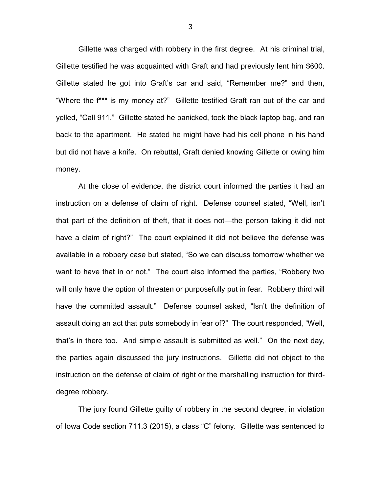Gillette was charged with robbery in the first degree. At his criminal trial, Gillette testified he was acquainted with Graft and had previously lent him \$600. Gillette stated he got into Graft's car and said, "Remember me?" and then, "Where the f\*\*\* is my money at?" Gillette testified Graft ran out of the car and yelled, "Call 911." Gillette stated he panicked, took the black laptop bag, and ran back to the apartment. He stated he might have had his cell phone in his hand but did not have a knife. On rebuttal, Graft denied knowing Gillette or owing him money.

At the close of evidence, the district court informed the parties it had an instruction on a defense of claim of right. Defense counsel stated, "Well, isn't that part of the definition of theft, that it does not—the person taking it did not have a claim of right?" The court explained it did not believe the defense was available in a robbery case but stated, "So we can discuss tomorrow whether we want to have that in or not." The court also informed the parties, "Robbery two will only have the option of threaten or purposefully put in fear. Robbery third will have the committed assault." Defense counsel asked, "Isn't the definition of assault doing an act that puts somebody in fear of?" The court responded, "Well, that's in there too. And simple assault is submitted as well." On the next day, the parties again discussed the jury instructions. Gillette did not object to the instruction on the defense of claim of right or the marshalling instruction for thirddegree robbery.

The jury found Gillette guilty of robbery in the second degree, in violation of Iowa Code section 711.3 (2015), a class "C" felony. Gillette was sentenced to

3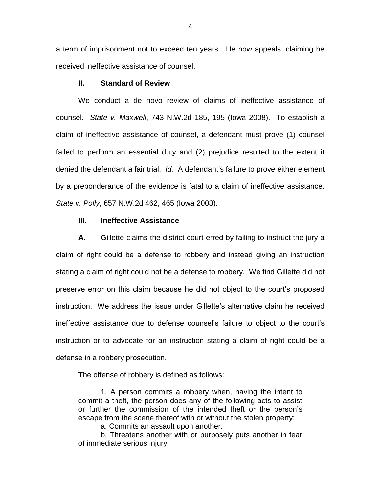a term of imprisonment not to exceed ten years. He now appeals, claiming he received ineffective assistance of counsel.

### **II. Standard of Review**

We conduct a de novo review of claims of ineffective assistance of counsel. *State v. Maxwell*, 743 N.W.2d 185, 195 (Iowa 2008). To establish a claim of ineffective assistance of counsel, a defendant must prove (1) counsel failed to perform an essential duty and (2) prejudice resulted to the extent it denied the defendant a fair trial. *Id.* A defendant's failure to prove either element by a preponderance of the evidence is fatal to a claim of ineffective assistance. *State v. Polly*, 657 N.W.2d 462, 465 (Iowa 2003).

### **III. Ineffective Assistance**

**A.** Gillette claims the district court erred by failing to instruct the jury a claim of right could be a defense to robbery and instead giving an instruction stating a claim of right could not be a defense to robbery. We find Gillette did not preserve error on this claim because he did not object to the court's proposed instruction. We address the issue under Gillette's alternative claim he received ineffective assistance due to defense counsel's failure to object to the court's instruction or to advocate for an instruction stating a claim of right could be a defense in a robbery prosecution.

The offense of robbery is defined as follows:

1. A person commits a robbery when, having the intent to commit a theft, the person does any of the following acts to assist or further the commission of the intended theft or the person's escape from the scene thereof with or without the stolen property:

a. Commits an assault upon another.

b. Threatens another with or purposely puts another in fear of immediate serious injury.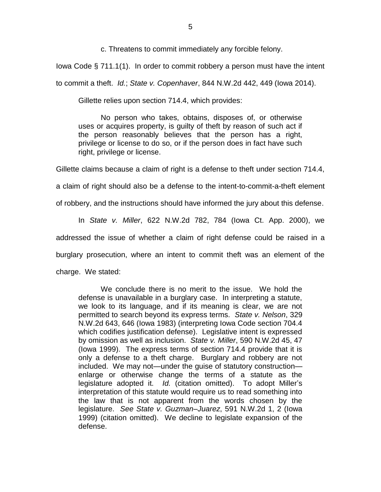c. Threatens to commit immediately any forcible felony.

Iowa Code § 711.1(1). In order to commit robbery a person must have the intent

to commit a theft. *Id.*; *State v. Copenhaver*, 844 N.W.2d 442, 449 (Iowa 2014).

Gillette relies upon section 714.4, which provides:

No person who takes, obtains, disposes of, or otherwise uses or acquires property, is guilty of theft by reason of such act if the person reasonably believes that the person has a right, privilege or license to do so, or if the person does in fact have such right, privilege or license.

Gillette claims because a claim of right is a defense to theft under section 714.4,

a claim of right should also be a defense to the intent-to-commit-a-theft element

of robbery, and the instructions should have informed the jury about this defense.

In *State v. Miller*, 622 N.W.2d 782, 784 (Iowa Ct. App. 2000), we addressed the issue of whether a claim of right defense could be raised in a burglary prosecution, where an intent to commit theft was an element of the charge. We stated:

We conclude there is no merit to the issue. We hold the defense is unavailable in a burglary case. In interpreting a statute, we look to its language, and if its meaning is clear, we are not permitted to search beyond its express terms. *State v. Nelson*, 329 N.W.2d 643, 646 (Iowa 1983) (interpreting Iowa Code section 704.4 which codifies justification defense). Legislative intent is expressed by omission as well as inclusion. *State v. Miller*, 590 N.W.2d 45, 47 (Iowa 1999). The express terms of section 714.4 provide that it is only a defense to a theft charge. Burglary and robbery are not included. We may not—under the guise of statutory construction enlarge or otherwise change the terms of a statute as the legislature adopted it. *Id.* (citation omitted). To adopt Miller's interpretation of this statute would require us to read something into the law that is not apparent from the words chosen by the legislature. *See State v. Guzman–Juarez*, 591 N.W.2d 1, 2 (Iowa 1999) (citation omitted). We decline to legislate expansion of the defense.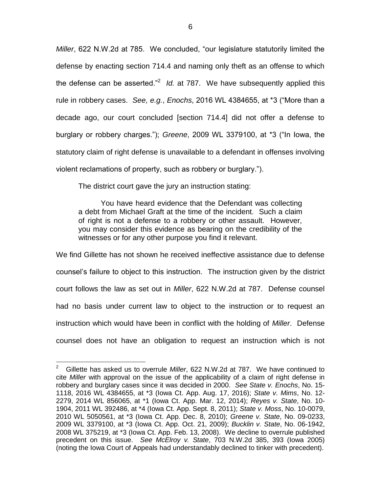*Miller*, 622 N.W.2d at 785. We concluded, "our legislature statutorily limited the defense by enacting section 714.4 and naming only theft as an offense to which the defense can be asserted."<sup>2</sup> Id. at 787. We have subsequently applied this rule in robbery cases. *See, e.g.*, *Enochs*, 2016 WL 4384655, at \*3 ("More than a decade ago, our court concluded [section 714.4] did not offer a defense to burglary or robbery charges."); *Greene*, 2009 WL 3379100, at \*3 ("In Iowa, the statutory claim of right defense is unavailable to a defendant in offenses involving violent reclamations of property, such as robbery or burglary.").

The district court gave the jury an instruction stating:

 $\overline{a}$ 

You have heard evidence that the Defendant was collecting a debt from Michael Graft at the time of the incident. Such a claim of right is not a defense to a robbery or other assault. However, you may consider this evidence as bearing on the credibility of the witnesses or for any other purpose you find it relevant.

We find Gillette has not shown he received ineffective assistance due to defense counsel's failure to object to this instruction. The instruction given by the district court follows the law as set out in *Miller*, 622 N.W.2d at 787. Defense counsel had no basis under current law to object to the instruction or to request an instruction which would have been in conflict with the holding of *Miller*. Defense counsel does not have an obligation to request an instruction which is not

<sup>2</sup> Gillette has asked us to overrule *Miller*, 622 N.W.2d at 787. We have continued to cite *Miller* with approval on the issue of the applicability of a claim of right defense in robbery and burglary cases since it was decided in 2000. *See State v. Enochs*, No. 15- 1118, 2016 WL 4384655, at \*3 (Iowa Ct. App. Aug. 17, 2016); *State v. Mims*, No. 12- 2279, 2014 WL 856065, at \*1 (Iowa Ct. App. Mar. 12, 2014); *Reyes v. State*, No. 10- 1904, 2011 WL 392486, at \*4 (Iowa Ct. App. Sept. 8, 2011); *State v. Moss*, No. 10-0079, 2010 WL 5050561, at \*3 (Iowa Ct. App. Dec. 8, 2010); *Greene v. State*, No. 09-0233, 2009 WL 3379100, at \*3 (Iowa Ct. App. Oct. 21, 2009); *Bucklin v. State*, No. 06-1942, 2008 WL 375219, at \*3 (Iowa Ct. App. Feb. 13, 2008). We decline to overrule published precedent on this issue. *See McElroy v. State*, 703 N.W.2d 385, 393 (Iowa 2005) (noting the Iowa Court of Appeals had understandably declined to tinker with precedent).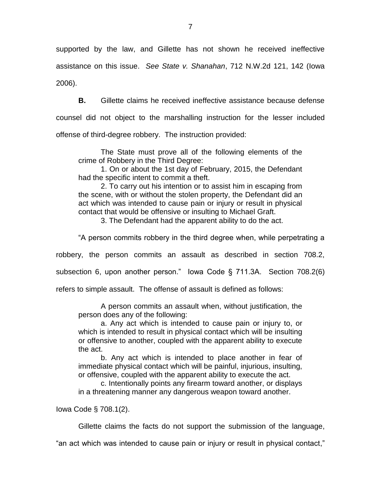supported by the law, and Gillette has not shown he received ineffective assistance on this issue. *See State v. Shanahan*, 712 N.W.2d 121, 142 (Iowa 2006).

**B.** Gillette claims he received ineffective assistance because defense

counsel did not object to the marshalling instruction for the lesser included

offense of third-degree robbery. The instruction provided:

The State must prove all of the following elements of the crime of Robbery in the Third Degree:

1. On or about the 1st day of February, 2015, the Defendant had the specific intent to commit a theft.

2. To carry out his intention or to assist him in escaping from the scene, with or without the stolen property, the Defendant did an act which was intended to cause pain or injury or result in physical contact that would be offensive or insulting to Michael Graft.

3. The Defendant had the apparent ability to do the act.

"A person commits robbery in the third degree when, while perpetrating a

robbery, the person commits an assault as described in section 708.2,

subsection 6, upon another person." Iowa Code § 711.3A. Section 708.2(6)

refers to simple assault. The offense of assault is defined as follows:

A person commits an assault when, without justification, the person does any of the following:

a. Any act which is intended to cause pain or injury to, or which is intended to result in physical contact which will be insulting or offensive to another, coupled with the apparent ability to execute the act.

b. Any act which is intended to place another in fear of immediate physical contact which will be painful, injurious, insulting, or offensive, coupled with the apparent ability to execute the act.

c. Intentionally points any firearm toward another, or displays in a threatening manner any dangerous weapon toward another.

Iowa Code § 708.1(2).

Gillette claims the facts do not support the submission of the language,

"an act which was intended to cause pain or injury or result in physical contact,"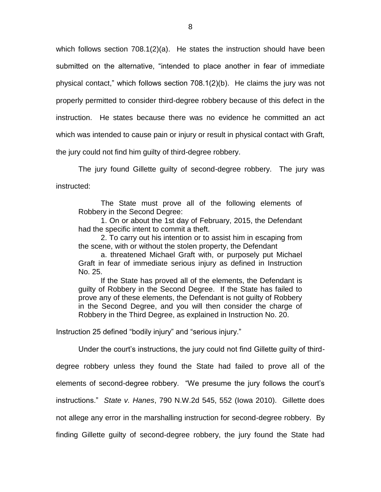which follows section 708.1(2)(a). He states the instruction should have been submitted on the alternative, "intended to place another in fear of immediate physical contact," which follows section 708.1(2)(b). He claims the jury was not properly permitted to consider third-degree robbery because of this defect in the instruction. He states because there was no evidence he committed an act which was intended to cause pain or injury or result in physical contact with Graft, the jury could not find him guilty of third-degree robbery.

The jury found Gillette guilty of second-degree robbery. The jury was instructed:

The State must prove all of the following elements of Robbery in the Second Degree:

1. On or about the 1st day of February, 2015, the Defendant had the specific intent to commit a theft.

2. To carry out his intention or to assist him in escaping from the scene, with or without the stolen property, the Defendant

a. threatened Michael Graft with, or purposely put Michael Graft in fear of immediate serious injury as defined in Instruction No. 25.

If the State has proved all of the elements, the Defendant is guilty of Robbery in the Second Degree. If the State has failed to prove any of these elements, the Defendant is not guilty of Robbery in the Second Degree, and you will then consider the charge of Robbery in the Third Degree, as explained in Instruction No. 20.

Instruction 25 defined "bodily injury" and "serious injury."

Under the court's instructions, the jury could not find Gillette guilty of third-

degree robbery unless they found the State had failed to prove all of the elements of second-degree robbery. "We presume the jury follows the court's instructions." *State v. Hanes*, 790 N.W.2d 545, 552 (Iowa 2010). Gillette does not allege any error in the marshalling instruction for second-degree robbery. By finding Gillette guilty of second-degree robbery, the jury found the State had